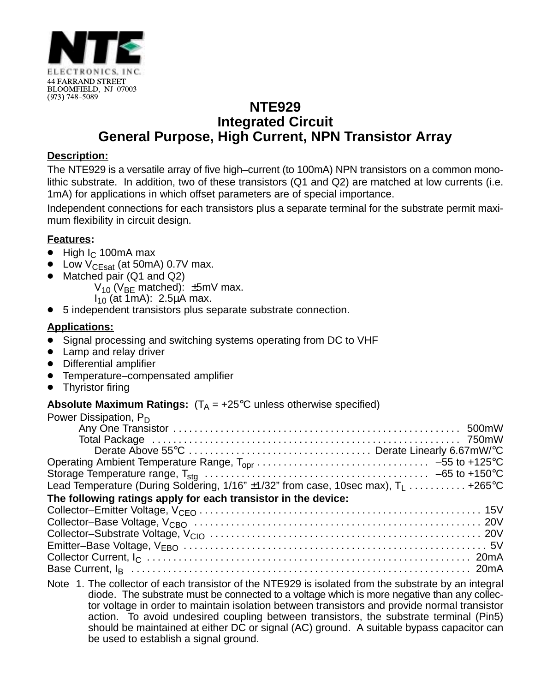

## **NTE929 Integrated Circuit General Purpose, High Current, NPN Transistor Array**

#### **Description:**

The NTE929 is a versatile array of five high–current (to 100mA) NPN transistors on a common monolithic substrate. In addition, two of these transistors (Q1 and Q2) are matched at low currents (i.e. 1mA) for applications in which offset parameters are of special importance.

Independent connections for each transistors plus a separate terminal for the substrate permit maximum flexibility in circuit design.

### **Features:**

- $\bullet$  High I<sub>C</sub> 100mA max
- Low  $V_{CEsat}$  (at 50mA) 0.7V max.
- $\bullet$  Matched pair (Q1 and Q2)
	- $V_{10}$  (V<sub>BE</sub> matched):  $\pm$ 5mV max.
	- $I_{10}$  (at 1mA): 2.5µA max.
- $\bullet$ 5 independent transistors plus separate substrate connection.

### **Applications:**

- Signal processing and switching systems operating from DC to VHF
- Lamp and relay driver
- Differential amplifier
- Temperature–compensated amplifier
- $\bullet$ Thyristor firing

#### **Absolute Maximum Ratings:**  $(T_A = +25^{\circ}C$  unless otherwise specified)

| Power Dissipation, $P_D$                                                                      |  |
|-----------------------------------------------------------------------------------------------|--|
|                                                                                               |  |
|                                                                                               |  |
|                                                                                               |  |
|                                                                                               |  |
|                                                                                               |  |
| Lead Temperature (During Soldering, $1/16$ " $\pm 1/32$ " from case, 10sec max), $T_1$ +265°C |  |
| The following ratings apply for each transistor in the device:                                |  |
|                                                                                               |  |
|                                                                                               |  |
|                                                                                               |  |
|                                                                                               |  |
|                                                                                               |  |
|                                                                                               |  |

Note 1. The collector of each transistor of the NTE929 is isolated from the substrate by an integral diode. The substrate must be connected to a voltage which is more negative than any collector voltage in order to maintain isolation between transistors and provide normal transistor action. To avoid undesired coupling between transistors, the substrate terminal (Pin5) should be maintained at either DC or signal (AC) ground. A suitable bypass capacitor can be used to establish a signal ground.